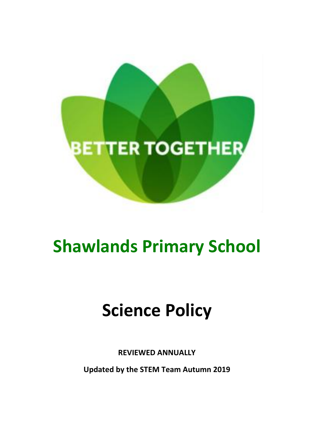

# **Shawlands Primary School**

# **Science Policy**

**REVIEWED ANNUALLY**

**Updated by the STEM Team Autumn 2019**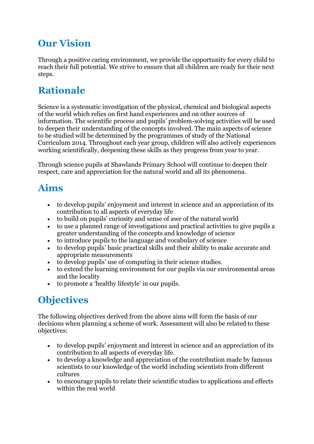# **Our Vision**

Through a positive caring environment, we provide the opportunity for every child to reach their full potential. We strive to ensure that all children are ready for their next steps.

# **Rationale**

Science is a systematic investigation of the physical, chemical and biological aspects of the world which relies on first hand experiences and on other sources of information. The scientific process and pupils' problem-solving activities will be used to deepen their understanding of the concepts involved. The main aspects of science to be studied will be determined by the programmes of study of the National Curriculum 2014. Throughout each year group, children will also actively experiences working scientifically, deepening these skills as they progress from year to year.

Through science pupils at Shawlands Primary School will continue to deepen their respect, care and appreciation for the natural world and all its phenomena.

# **Aims**

- to develop pupils' enjoyment and interest in science and an appreciation of its contribution to all aspects of everyday life
- to build on pupils' curiosity and sense of awe of the natural world
- to use a planned range of investigations and practical activities to give pupils a greater understanding of the concepts and knowledge of science
- to introduce pupils to the language and vocabulary of science
- to develop pupils' basic practical skills and their ability to make accurate and appropriate measurements
- to develop pupils' use of computing in their science studies.
- to extend the learning environment for our pupils via our environmental areas and the locality
- to promote a 'healthy lifestyle' in our pupils.

# **Objectives**

The following objectives derived from the above aims will form the basis of our decisions when planning a scheme of work. Assessment will also be related to these objectives:

- to develop pupils' enjoyment and interest in science and an appreciation of its contribution to all aspects of everyday life.
- to develop a knowledge and appreciation of the contribution made by famous scientists to our knowledge of the world including scientists from different cultures
- to encourage pupils to relate their scientific studies to applications and effects within the real world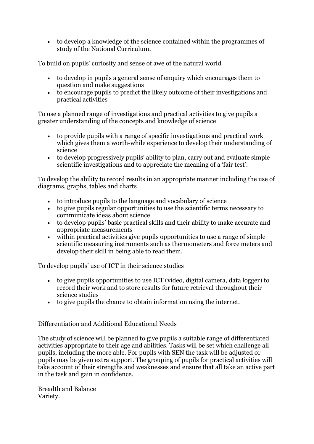to develop a knowledge of the science contained within the programmes of study of the National Curriculum.

To build on pupils' curiosity and sense of awe of the natural world

- to develop in pupils a general sense of enquiry which encourages them to question and make suggestions
- to encourage pupils to predict the likely outcome of their investigations and practical activities

To use a planned range of investigations and practical activities to give pupils a greater understanding of the concepts and knowledge of science

- to provide pupils with a range of specific investigations and practical work which gives them a worth-while experience to develop their understanding of science
- to develop progressively pupils' ability to plan, carry out and evaluate simple scientific investigations and to appreciate the meaning of a 'fair test'.

To develop the ability to record results in an appropriate manner including the use of diagrams, graphs, tables and charts

- to introduce pupils to the language and vocabulary of science
- to give pupils regular opportunities to use the scientific terms necessary to communicate ideas about science
- to develop pupils' basic practical skills and their ability to make accurate and appropriate measurements
- within practical activities give pupils opportunities to use a range of simple scientific measuring instruments such as thermometers and force meters and develop their skill in being able to read them.

To develop pupils' use of ICT in their science studies

- to give pupils opportunities to use ICT (video, digital camera, data logger) to record their work and to store results for future retrieval throughout their science studies
- to give pupils the chance to obtain information using the internet.

Differentiation and Additional Educational Needs

The study of science will be planned to give pupils a suitable range of differentiated activities appropriate to their age and abilities. Tasks will be set which challenge all pupils, including the more able. For pupils with SEN the task will be adjusted or pupils may be given extra support. The grouping of pupils for practical activities will take account of their strengths and weaknesses and ensure that all take an active part in the task and gain in confidence.

Breadth and Balance Variety.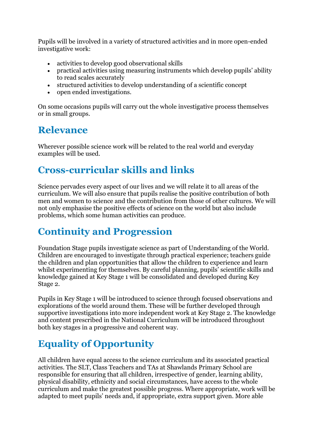Pupils will be involved in a variety of structured activities and in more open-ended investigative work:

- activities to develop good observational skills
- practical activities using measuring instruments which develop pupils' ability to read scales accurately
- structured activities to develop understanding of a scientific concept
- open ended investigations.

On some occasions pupils will carry out the whole investigative process themselves or in small groups.

#### **Relevance**

Wherever possible science work will be related to the real world and everyday examples will be used.

#### **Cross-curricular skills and links**

Science pervades every aspect of our lives and we will relate it to all areas of the curriculum. We will also ensure that pupils realise the positive contribution of both men and women to science and the contribution from those of other cultures. We will not only emphasise the positive effects of science on the world but also include problems, which some human activities can produce.

### **Continuity and Progression**

Foundation Stage pupils investigate science as part of Understanding of the World. Children are encouraged to investigate through practical experience; teachers guide the children and plan opportunities that allow the children to experience and learn whilst experimenting for themselves. By careful planning, pupils' scientific skills and knowledge gained at Key Stage 1 will be consolidated and developed during Key Stage 2.

Pupils in Key Stage 1 will be introduced to science through focused observations and explorations of the world around them. These will be further developed through supportive investigations into more independent work at Key Stage 2. The knowledge and content prescribed in the National Curriculum will be introduced throughout both key stages in a progressive and coherent way.

# **Equality of Opportunity**

All children have equal access to the science curriculum and its associated practical activities. The SLT, Class Teachers and TAs at Shawlands Primary School are responsible for ensuring that all children, irrespective of gender, learning ability, physical disability, ethnicity and social circumstances, have access to the whole curriculum and make the greatest possible progress. Where appropriate, work will be adapted to meet pupils' needs and, if appropriate, extra support given. More able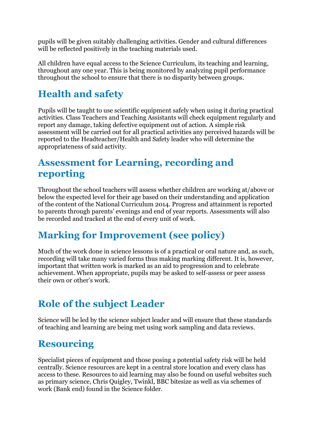pupils will be given suitably challenging activities. Gender and cultural differences will be reflected positively in the teaching materials used.

All children have equal access to the Science Curriculum, its teaching and learning, throughout any one year. This is being monitored by analyzing pupil performance throughout the school to ensure that there is no disparity between groups.

# **Health and safety**

Pupils will be taught to use scientific equipment safely when using it during practical activities. Class Teachers and Teaching Assistants will check equipment regularly and report any damage, taking defective equipment out of action. A simple risk assessment will be carried out for all practical activities any perceived hazards will be reported to the Headteacher/Health and Safety leader who will determine the appropriateness of said activity.

#### **Assessment for Learning, recording and reporting**

Throughout the school teachers will assess whether children are working at/above or below the expected level for their age based on their understanding and application of the content of the National Curriculum 2014. Progress and attainment is reported to parents through parents' evenings and end of year reports. Assessments will also be recorded and tracked at the end of every unit of work.

# **Marking for Improvement (see policy)**

Much of the work done in science lessons is of a practical or oral nature and, as such, recording will take many varied forms thus making marking different. It is, however, important that written work is marked as an aid to progression and to celebrate achievement. When appropriate, pupils may be asked to self-assess or peer assess their own or other's work.

# **Role of the subject Leader**

Science will be led by the science subject leader and will ensure that these standards of teaching and learning are being met using work sampling and data reviews.

### **Resourcing**

Specialist pieces of equipment and those posing a potential safety risk will be held centrally. Science resources are kept in a central store location and every class has access to these. Resources to aid learning may also be found on useful websites such as primary science, Chris Quigley, Twinkl, BBC bitesize as well as via schemes of work (Bank end) found in the Science folder.